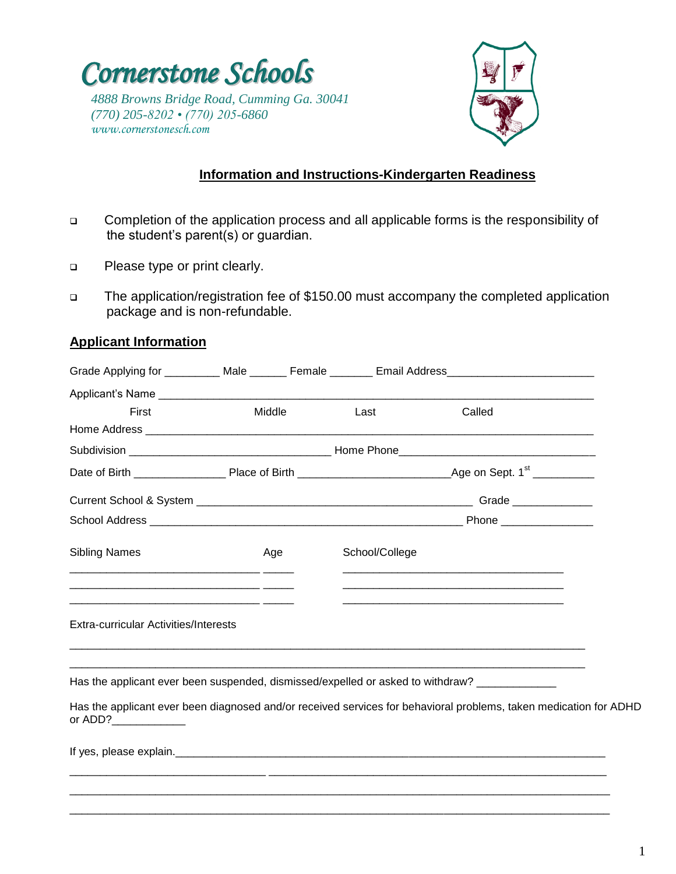



## **Information and Instructions-Kindergarten Readiness**

- Completion of the application process and all applicable forms is the responsibility of the student's parent(s) or guardian.
- **D** Please type or print clearly.
- The application/registration fee of \$150.00 must accompany the completed application package and is non-refundable.

### **Applicant Information**

|                                                                                                                                                                                                                                  |        |                | Grade Applying for __________ Male _______ Female ________ Email Address___________________________               |  |
|----------------------------------------------------------------------------------------------------------------------------------------------------------------------------------------------------------------------------------|--------|----------------|-------------------------------------------------------------------------------------------------------------------|--|
| Applicant's Name                                                                                                                                                                                                                 |        |                |                                                                                                                   |  |
| First                                                                                                                                                                                                                            | Middle | Last           | Called                                                                                                            |  |
|                                                                                                                                                                                                                                  |        |                |                                                                                                                   |  |
|                                                                                                                                                                                                                                  |        |                |                                                                                                                   |  |
|                                                                                                                                                                                                                                  |        |                |                                                                                                                   |  |
|                                                                                                                                                                                                                                  |        |                |                                                                                                                   |  |
|                                                                                                                                                                                                                                  |        |                |                                                                                                                   |  |
| <b>Sibling Names</b>                                                                                                                                                                                                             | Age    | School/College |                                                                                                                   |  |
| <u> 1980 - Jan James James James James James James James James James James James James James James James James J</u><br><u> 2000 - Andrea Andrew Amerikaanse kommunister (h. 2000).</u><br>Extra-curricular Activities/Interests |        |                |                                                                                                                   |  |
| Has the applicant ever been suspended, dismissed/expelled or asked to withdraw? ____________                                                                                                                                     |        |                |                                                                                                                   |  |
| or ADD?                                                                                                                                                                                                                          |        |                | Has the applicant ever been diagnosed and/or received services for behavioral problems, taken medication for ADHD |  |
|                                                                                                                                                                                                                                  |        |                |                                                                                                                   |  |

\_\_\_\_\_\_\_\_\_\_\_\_\_\_\_\_\_\_\_\_\_\_\_\_\_\_\_\_\_\_\_\_\_\_\_\_\_\_\_\_\_\_\_\_\_\_\_\_\_\_\_\_\_\_\_\_\_\_\_\_\_\_\_\_\_\_\_\_\_\_\_\_\_\_\_\_\_\_\_\_\_\_\_\_\_\_\_\_ \_\_\_\_\_\_\_\_\_\_\_\_\_\_\_\_\_\_\_\_\_\_\_\_\_\_\_\_\_\_\_\_\_\_\_\_\_\_\_\_\_\_\_\_\_\_\_\_\_\_\_\_\_\_\_\_\_\_\_\_\_\_\_\_\_\_\_\_\_\_\_\_\_\_\_\_\_\_\_\_\_\_\_\_\_\_\_\_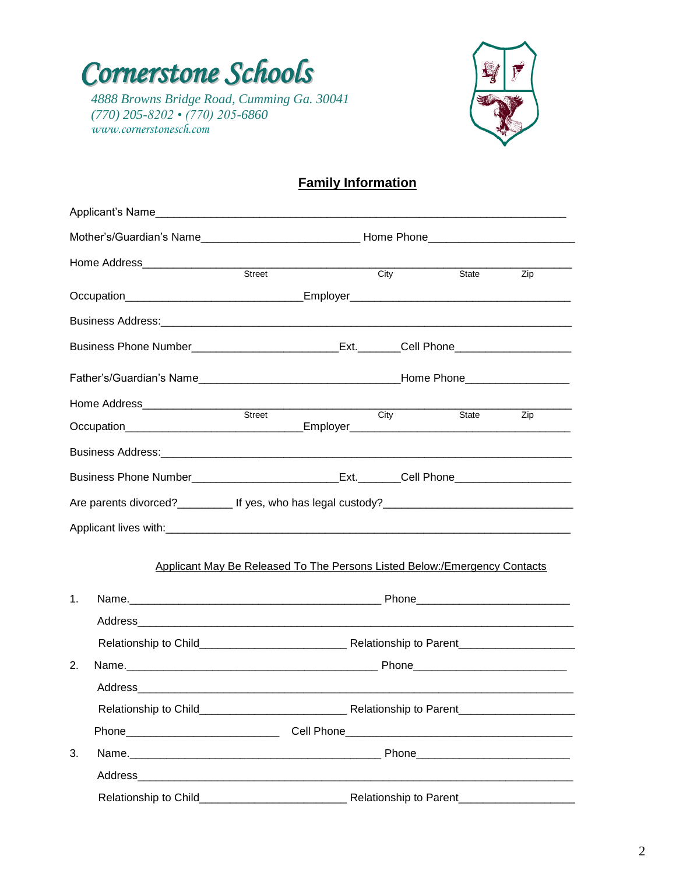



# **Family Information**

|    | Home Address__________________                                                                      |                                                                           |                          |       |                                                                                                                                                                                                                                      |
|----|-----------------------------------------------------------------------------------------------------|---------------------------------------------------------------------------|--------------------------|-------|--------------------------------------------------------------------------------------------------------------------------------------------------------------------------------------------------------------------------------------|
|    |                                                                                                     | Street                                                                    | City                     | State | Zip                                                                                                                                                                                                                                  |
|    | Occupation__________________________________Employer____________________________                    |                                                                           |                          |       |                                                                                                                                                                                                                                      |
|    |                                                                                                     |                                                                           |                          |       |                                                                                                                                                                                                                                      |
|    |                                                                                                     |                                                                           |                          |       |                                                                                                                                                                                                                                      |
|    |                                                                                                     |                                                                           |                          |       |                                                                                                                                                                                                                                      |
|    |                                                                                                     |                                                                           |                          |       |                                                                                                                                                                                                                                      |
|    |                                                                                                     |                                                                           | $\overline{\text{City}}$ | State | Zip                                                                                                                                                                                                                                  |
|    |                                                                                                     |                                                                           |                          |       |                                                                                                                                                                                                                                      |
|    |                                                                                                     |                                                                           |                          |       |                                                                                                                                                                                                                                      |
|    | Are parents divorced?____________ If yes, who has legal custody?___________________________________ |                                                                           |                          |       |                                                                                                                                                                                                                                      |
|    |                                                                                                     |                                                                           |                          |       |                                                                                                                                                                                                                                      |
|    |                                                                                                     | Applicant May Be Released To The Persons Listed Below:/Emergency Contacts |                          |       |                                                                                                                                                                                                                                      |
|    |                                                                                                     |                                                                           |                          |       |                                                                                                                                                                                                                                      |
| 1. |                                                                                                     |                                                                           |                          |       |                                                                                                                                                                                                                                      |
|    |                                                                                                     |                                                                           |                          |       |                                                                                                                                                                                                                                      |
|    |                                                                                                     |                                                                           |                          |       |                                                                                                                                                                                                                                      |
| 2. |                                                                                                     |                                                                           |                          |       |                                                                                                                                                                                                                                      |
|    | Address                                                                                             |                                                                           |                          |       |                                                                                                                                                                                                                                      |
|    |                                                                                                     |                                                                           |                          |       | Relationship to Parent________________________                                                                                                                                                                                       |
|    |                                                                                                     |                                                                           |                          |       |                                                                                                                                                                                                                                      |
| 3. |                                                                                                     |                                                                           |                          |       | Phone <b>Contract Contract Contract Contract Contract Contract Contract Contract Contract Contract Contract Contract Contract Contract Contract Contract Contract Contract Contract Contract Contract Contract Contract Contract</b> |
|    |                                                                                                     |                                                                           |                          |       |                                                                                                                                                                                                                                      |
|    |                                                                                                     |                                                                           |                          |       |                                                                                                                                                                                                                                      |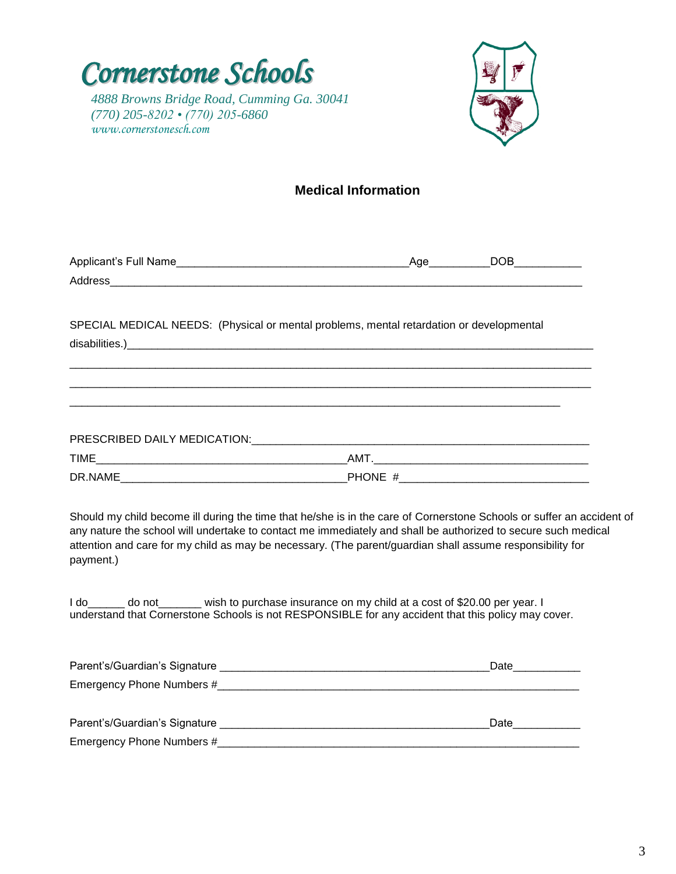



# *(770) 205-8202 • (770) 205-6860 www.cornerstonesch.com*

# **Medical Information**

| Applicant's Full Name | Aae | DOB |
|-----------------------|-----|-----|
| Address               |     |     |
|                       |     |     |

\_\_\_\_\_\_\_\_\_\_\_\_\_\_\_\_\_\_\_\_\_\_\_\_\_\_\_\_\_\_\_\_\_\_\_\_\_\_\_\_\_\_\_\_\_\_\_\_\_\_\_\_\_\_\_\_\_\_\_\_\_\_\_\_\_\_\_\_\_\_\_\_\_\_\_\_\_\_\_\_\_\_\_\_\_ \_\_\_\_\_\_\_\_\_\_\_\_\_\_\_\_\_\_\_\_\_\_\_\_\_\_\_\_\_\_\_\_\_\_\_\_\_\_\_\_\_\_\_\_\_\_\_\_\_\_\_\_\_\_\_\_\_\_\_\_\_\_\_\_\_\_\_\_\_\_\_\_\_\_\_\_\_\_\_\_\_\_\_\_\_

SPECIAL MEDICAL NEEDS: (Physical or mental problems, mental retardation or developmental disabilities.)\_\_\_\_\_\_\_\_\_\_\_\_\_\_\_\_\_\_\_\_\_\_\_\_\_\_\_\_\_\_\_\_\_\_\_\_\_\_\_\_\_\_\_\_\_\_\_\_\_\_\_\_\_\_\_\_\_\_\_\_\_\_\_\_\_\_\_\_\_\_\_\_\_\_\_\_

\_\_\_\_\_\_\_\_\_\_\_\_\_\_\_\_\_\_\_\_\_\_\_\_\_\_\_\_\_\_\_\_\_\_\_\_\_\_\_\_\_\_\_\_\_\_\_\_\_\_\_\_\_\_\_\_\_\_\_\_\_\_\_\_\_\_\_\_\_\_\_\_\_\_\_\_\_\_\_\_

| PRESCRIBED DAILY MEDICATION: |                            |  |
|------------------------------|----------------------------|--|
| TIME                         | AM <sup>-</sup>            |  |
| DR.NAME                      | <b>PHONE</b><br>$^{\rm +}$ |  |

Should my child become ill during the time that he/she is in the care of Cornerstone Schools or suffer an accident of any nature the school will undertake to contact me immediately and shall be authorized to secure such medical attention and care for my child as may be necessary. (The parent/guardian shall assume responsibility for payment.)

I do do not wish to purchase insurance on my child at a cost of \$20.00 per year. I understand that Cornerstone Schools is not RESPONSIBLE for any accident that this policy may cover.

| Parent's/Guardian's Signature | Date |
|-------------------------------|------|
| Emergency Phone Numbers #     |      |
|                               |      |
| Parent's/Guardian's Signature | Date |
| Emergency Phone Numbers #     |      |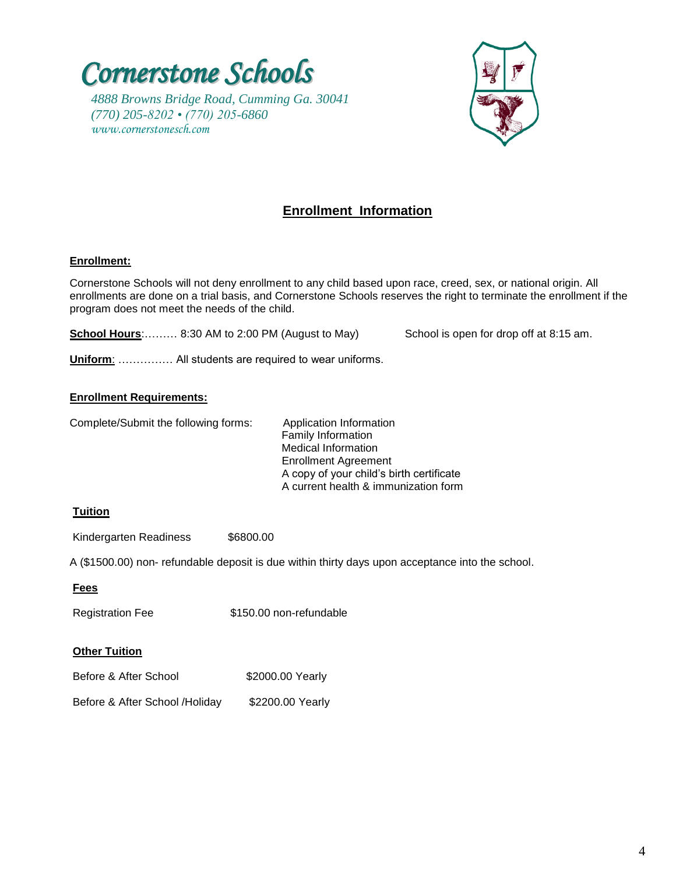



### **Enrollment Information**

#### **Enrollment:** I

Cornerstone Schools will not deny enrollment to any child based upon race, creed, sex, or national origin. All enrollments are done on a trial basis, and Cornerstone Schools reserves the right to terminate the enrollment if the program does not meet the needs of the child.

**School Hours:** 6:30 AM to 2:00 PM (August to May) School is open for drop off at 8:15 am.

**Uniform**: …………… All students are required to wear uniforms.

#### **Enrollment Requirements:**

Complete/Submit the following forms: Application Information

 Family Information Medical Information Enrollment Agreement A copy of your child's birth certificate A current health & immunization form

#### **Tuition**

Kindergarten Readiness \$6800.00

A (\$1500.00) non- refundable deposit is due within thirty days upon acceptance into the school.

#### **Fees**

Registration Fee \$150.00 non-refundable

#### **Other Tuition**

| Before & After School | \$2000.00 Yearly |
|-----------------------|------------------|
|-----------------------|------------------|

Before & After School /Holiday \$2200.00 Yearly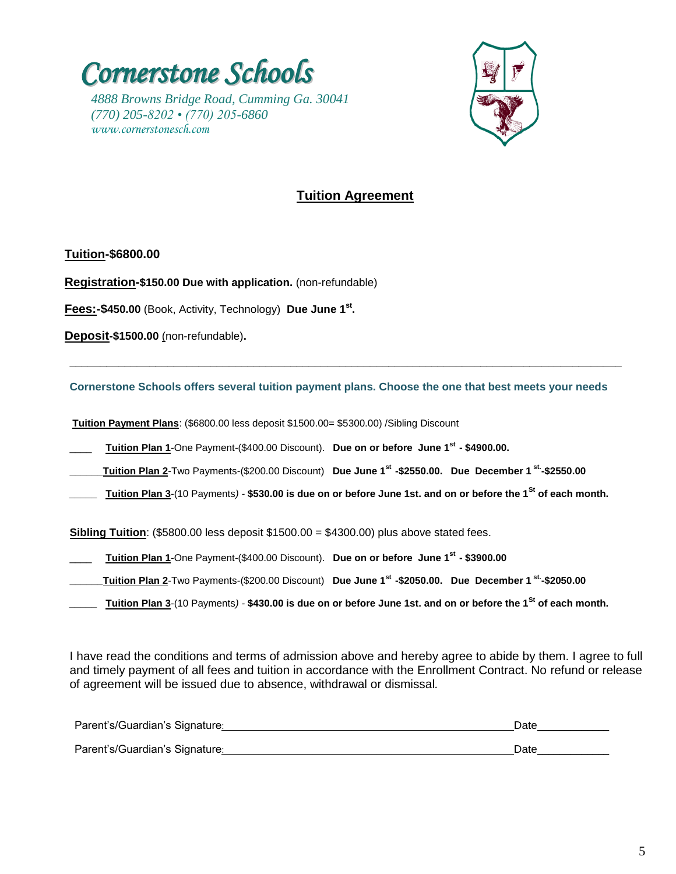



# **Tuition Agreement**

**Tuition-\$6800.00**

**Registration-\$150.00 Due with application.** (non-refundable)

**Fees:-\$450.00** (Book, Activity, Technology) **Due June 1st .** 

**Deposit-\$1500.00** (non-refundable)**.**

**Cornerstone Schools offers several tuition payment plans. Choose the one that best meets your needs**

**\_\_\_\_\_\_\_\_\_\_\_\_\_\_\_\_\_\_\_\_\_\_\_\_\_\_\_\_\_\_\_\_\_\_\_\_\_\_\_\_\_\_\_\_\_\_\_\_\_\_\_\_\_\_\_\_\_\_\_\_\_\_\_\_\_\_\_\_\_\_\_\_\_\_\_\_\_\_\_\_\_\_\_\_\_\_\_\_\_\_**

**Tuition Payment Plans**: (\$6800.00 less deposit \$1500.00= \$5300.00) /Sibling Discount

\_\_\_\_ **Tuition Plan 1**-One Payment-(\$400.00 Discount). **Due on or before June 1st - \$4900.00.**

**\_\_\_\_\_\_Tuition Plan 2**-Two Payments-(\$200.00 Discount) **Due June 1st -\$2550.00. Due December 1 st. -\$2550.00**

*\_\_\_\_\_* **Tuition Plan 3**-(10 Payments*) -* **\$530.00 is due on or before June 1st. and on or before the 1St of each month.** 

**Sibling Tuition**: (\$5800.00 less deposit \$1500.00 = \$4300.00) plus above stated fees.

- \_\_\_\_ **Tuition Plan 1**-One Payment-(\$400.00 Discount). **Due on or before June 1st - \$3900.00**
- **\_\_\_\_\_\_Tuition Plan 2**-Two Payments-(\$200.00 Discount) **Due June 1st -\$2050.00. Due December 1 st. -\$2050.00**
- *\_\_\_\_\_* **Tuition Plan 3**-(10 Payments*) -* **\$430.00 is due on or before June 1st. and on or before the 1St of each month.**

I have read the conditions and terms of admission above and hereby agree to abide by them. I agree to full and timely payment of all fees and tuition in accordance with the Enrollment Contract. No refund or release of agreement will be issued due to absence, withdrawal or dismissal*.* 

| Parent's/Guardian's Signature: | Date |
|--------------------------------|------|
| Parent's/Guardian's Signature: | Date |
|                                |      |